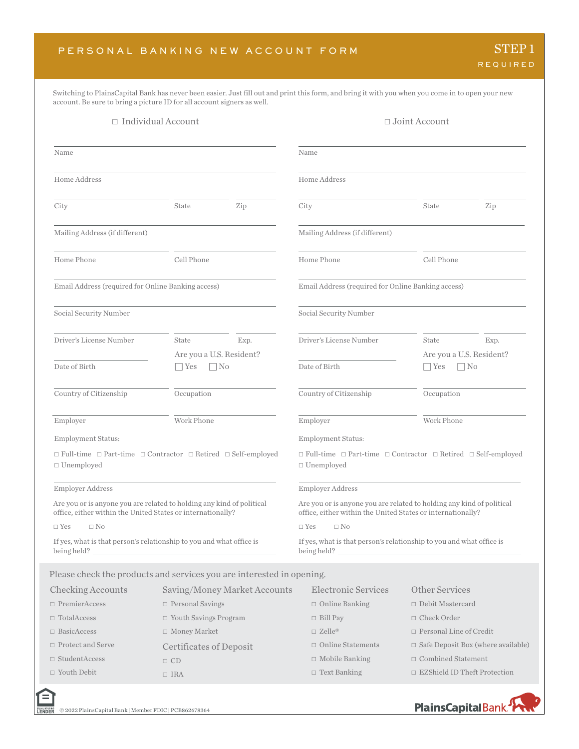Switching to PlainsCapital Bank has never been easier. Just fill out and print this form, and bring it with you when you come in to open your new account. Be sure to bring a picture ID for all account signers as well.

|                                                                                                                                      | $\Box$ Individual Account         |                              |                                                             | $\Box$ Joint Account                                                                    |
|--------------------------------------------------------------------------------------------------------------------------------------|-----------------------------------|------------------------------|-------------------------------------------------------------|-----------------------------------------------------------------------------------------|
| Name                                                                                                                                 |                                   |                              | Name                                                        |                                                                                         |
| Home Address                                                                                                                         |                                   |                              | Home Address                                                |                                                                                         |
| City                                                                                                                                 | State                             | Zip                          | City                                                        | Zip<br>State                                                                            |
| Mailing Address (if different)                                                                                                       |                                   |                              | Mailing Address (if different)                              |                                                                                         |
| Home Phone                                                                                                                           | Cell Phone                        |                              | Home Phone                                                  | Cell Phone                                                                              |
| Email Address (required for Online Banking access)                                                                                   |                                   |                              | Email Address (required for Online Banking access)          |                                                                                         |
| Social Security Number                                                                                                               |                                   |                              | Social Security Number                                      |                                                                                         |
| Driver's License Number                                                                                                              | State<br>Are you a U.S. Resident? | Exp.                         | Driver's License Number                                     | State<br>Exp.<br>Are you a U.S. Resident?                                               |
| Date of Birth                                                                                                                        | $\Box$ No<br>$\Box$ Yes           |                              | Date of Birth                                               | $\Box$ No<br>$\Box$ Yes                                                                 |
| Country of Citizenship                                                                                                               | Occupation                        |                              | Country of Citizenship                                      | Occupation                                                                              |
| Employer                                                                                                                             | Work Phone                        |                              | Employer                                                    | Work Phone                                                                              |
| <b>Employment Status:</b>                                                                                                            |                                   |                              | <b>Employment Status:</b>                                   |                                                                                         |
| $\Box$ Full-time $\Box$ Part-time $\Box$ Contractor $\Box$ Retired $\Box$ Self-employed<br>$\Box$ Unemployed                         |                                   |                              | $\Box$ Unemployed                                           | $\Box$ Full-time $\Box$ Part-time $\Box$ Contractor $\Box$ Retired $\Box$ Self-employed |
| Employer Address                                                                                                                     |                                   |                              | Employer Address                                            |                                                                                         |
| Are you or is anyone you are related to holding any kind of political<br>office, either within the United States or internationally? |                                   |                              | office, either within the United States or internationally? | Are you or is anyone you are related to holding any kind of political                   |
| $\Box$ No<br>$\Box$ Yes                                                                                                              |                                   |                              | $\Box$ Yes<br>$\Box$ No                                     |                                                                                         |
| If yes, what is that person's relationship to you and what office is<br>being held? $\overline{\phantom{0}}$                         |                                   |                              | being held? $\_\_$                                          | If yes, what is that person's relationship to you and what office is                    |
| Please check the products and services you are interested in opening.                                                                |                                   |                              |                                                             |                                                                                         |
| Checking Accounts                                                                                                                    |                                   | Saving/Money Market Accounts | <b>Electronic Services</b>                                  | Other Services                                                                          |
| $\Box$ PremierAccess                                                                                                                 | $\hfill\Box$<br>Personal Savings  |                              | $\Box$ Online Banking                                       | $\Box$ Debit Mastercard                                                                 |
| $\Box$ TotalAccess                                                                                                                   | $\Box$ Youth Savings Program      |                              | $\Box$ Bill Pay                                             | $\Box$ Check Order                                                                      |
| $\Box$ BasicAccess                                                                                                                   | $\Box$ Money Market               |                              | $\square$ Zelle®                                            | $\Box$ Personal Line of Credit                                                          |
| $\Box$ Protect and Serve                                                                                                             | <b>Certificates of Deposit</b>    |                              | $\Box$ Online Statements                                    | $\Box$ Safe Deposit Box (where available)                                               |
|                                                                                                                                      |                                   |                              | $\Box$ Mobile Banking                                       | □ Combined Statement                                                                    |
| $\Box$ StudentAccess                                                                                                                 | $\Box$ CD                         |                              |                                                             |                                                                                         |

EQUAL HOUSING<br>LENDER

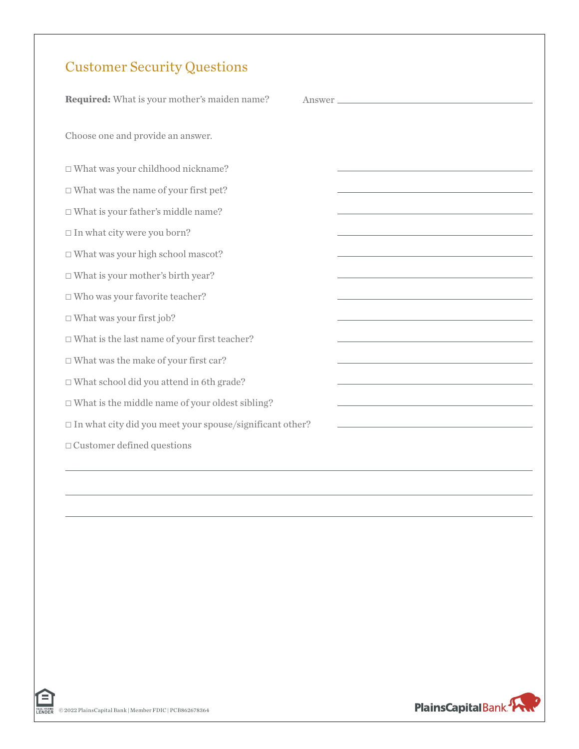## Customer Security Questions

| <b>Required:</b> What is your mother's maiden name?                | Answer                                                                                    |
|--------------------------------------------------------------------|-------------------------------------------------------------------------------------------|
| Choose one and provide an answer.                                  |                                                                                           |
| $\Box$ What was your childhood nickname?                           |                                                                                           |
| $\Box$ What was the name of your first pet?                        |                                                                                           |
| $\Box$ What is your father's middle name?                          |                                                                                           |
| $\Box$ In what city were you born?                                 |                                                                                           |
| $\Box$ What was your high school mascot?                           |                                                                                           |
| $\Box$ What is your mother's birth year?                           |                                                                                           |
| $\Box$ Who was your favorite teacher?                              |                                                                                           |
| $\Box$ What was your first job?                                    | <u> 1989 - Johann Barn, amerikansk politiker (d. 1989)</u>                                |
| $\Box$ What is the last name of your first teacher?                |                                                                                           |
| $\Box$ What was the make of your first car?                        |                                                                                           |
| $\Box$ What school did you attend in 6th grade?                    |                                                                                           |
| $\Box$ What is the middle name of your oldest sibling?             | the control of the control of the control of the control of the control of                |
| $\square$ In what city did you meet your spouse/significant other? | the control of the control of the control of the control of the control of the control of |
| $\Box$ Customer defined questions                                  |                                                                                           |
|                                                                    |                                                                                           |



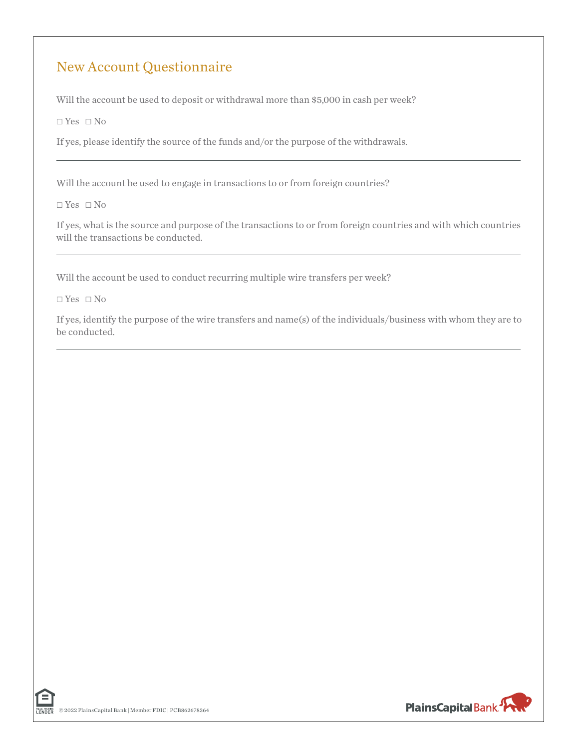## New Account Questionnaire

Will the account be used to deposit or withdrawal more than \$5,000 in cash per week?

 $\Box$  Yes  $\Box$  No

If yes, please identify the source of the funds and/or the purpose of the withdrawals.

Will the account be used to engage in transactions to or from foreign countries?

 $\Box$  Yes  $\Box$  No

If yes, what is the source and purpose of the transactions to or from foreign countries and with which countries will the transactions be conducted.

Will the account be used to conduct recurring multiple wire transfers per week?

 $\Box$  Yes  $\Box$  No

If yes, identify the purpose of the wire transfers and name(s) of the individuals/business with whom they are to be conducted.



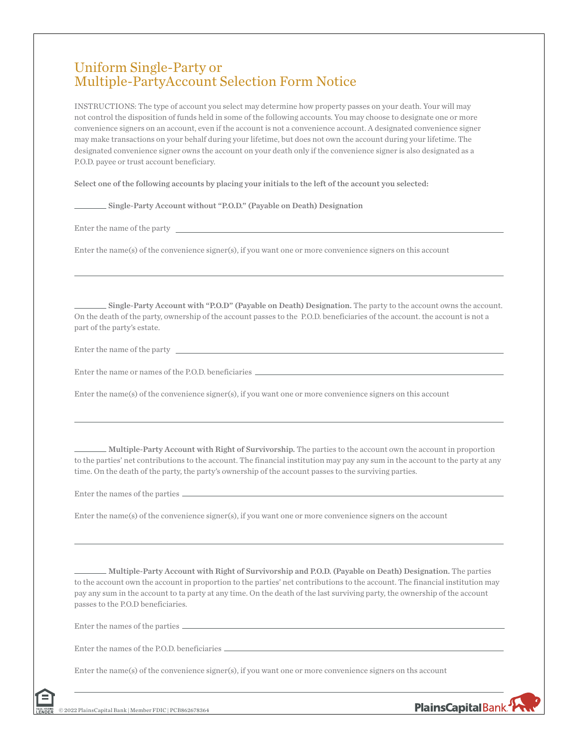## Uniform Single-Party or Multiple-PartyAccount Selection Form Notice

INSTRUCTIONS: The type of account you select may determine how property passes on your death. Your will may not control the disposition of funds held in some of the following accounts. You may choose to designate one or more convenience signers on an account, even if the account is not a convenience account. A designated convenience signer may make transactions on your behalf during your lifetime, but does not own the account during your lifetime. The designated convenience signer owns the account on your death only if the convenience signer is also designated as a P.O.D. payee or trust account beneficiary.

Select one of the following accounts by placing your initials to the left of the account you selected:

Single-Party Account without "P.O.D." (Payable on Death) Designation

Enter the name of the party

Enter the name(s) of the convenience signer(s), if you want one or more convenience signers on this account

Single-Party Account with "P.O.D" (Payable on Death) Designation. The party to the account owns the account. On the death of the party, ownership of the account passes to the P.O.D. beneficiaries of the account. the account is not a part of the party's estate.

Enter the name of the party

Enter the name or names of the P.O.D. beneficiaries

Enter the name(s) of the convenience signer(s), if you want one or more convenience signers on this account

Multiple-Party Account with Right of Survivorship. The parties to the account own the account in proportion to the parties' net contributions to the account. The financial institution may pay any sum in the account to the party at any time. On the death of the party, the party's ownership of the account passes to the surviving parties.

Enter the names of the parties

Enter the name(s) of the convenience signer(s), if you want one or more convenience signers on the account

Multiple-Party Account with Right of Survivorship and P.O.D. (Payable on Death) Designation. The parties to the account own the account in proportion to the parties' net contributions to the account. The financial institution may pay any sum in the account to ta party at any time. On the death of the last surviving party, the ownership of the account passes to the P.O.D beneficiaries.

PlainsCapitalBank<sup>3</sup>

Enter the names of the parties

Enter the names of the P.O.D. beneficiaries

Enter the name(s) of the convenience signer(s), if you want one or more convenience signers on ths account

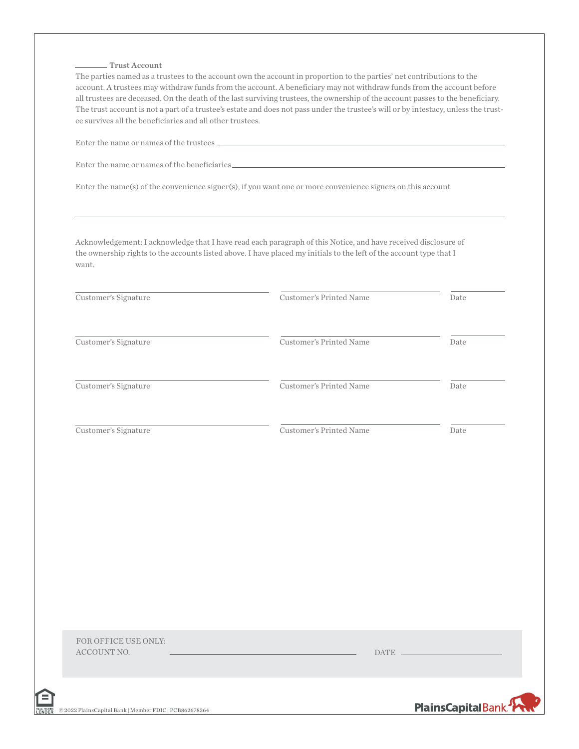#### Trust Account

The parties named as a trustees to the account own the account in proportion to the parties' net contributions to the account. A trustees may withdraw funds from the account. A beneficiary may not withdraw funds from the account before all trustees are deceased. On the death of the last surviving trustees, the ownership of the account passes to the beneficiary. The trust account is not a part of a trustee's estate and does not pass under the trustee's will or by intestacy, unless the trustee survives all the beneficiaries and all other trustees.

Enter the name or names of the beneficiaries

Enter the name(s) of the convenience signer(s), if you want one or more convenience signers on this account

Acknowledgement: I acknowledge that I have read each paragraph of this Notice, and have received disclosure of the ownership rights to the accounts listed above. I have placed my initials to the left of the account type that I want.

| Customer's Signature                | Customer's Printed Name |                                              | Date |
|-------------------------------------|-------------------------|----------------------------------------------|------|
| Customer's Signature                | Customer's Printed Name |                                              | Date |
| Customer's Signature                | Customer's Printed Name |                                              | Date |
| Customer's Signature                | Customer's Printed Name |                                              | Date |
|                                     |                         |                                              |      |
|                                     |                         |                                              |      |
|                                     |                         |                                              |      |
|                                     |                         |                                              |      |
|                                     |                         |                                              |      |
| FOR OFFICE USE ONLY:<br>ACCOUNT NO. |                         | $\begin{tabular}{c} \bf{DATE} \end{tabular}$ |      |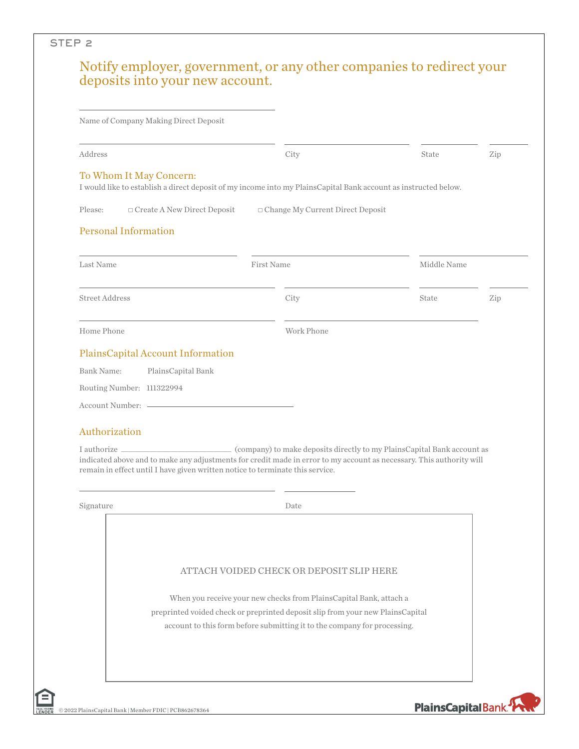|                             | Name of Company Making Direct Deposit                                         |                                                                                                                                                                                                 |             |     |
|-----------------------------|-------------------------------------------------------------------------------|-------------------------------------------------------------------------------------------------------------------------------------------------------------------------------------------------|-------------|-----|
| Address                     |                                                                               | City                                                                                                                                                                                            | State       | Zip |
|                             | To Whom It May Concern:                                                       | I would like to establish a direct deposit of my income into my PlainsCapital Bank account as instructed below.                                                                                 |             |     |
| Please:                     | $\Box$ Create A New Direct Deposit                                            | □ Change My Current Direct Deposit                                                                                                                                                              |             |     |
| <b>Personal Information</b> |                                                                               |                                                                                                                                                                                                 |             |     |
| Last Name                   |                                                                               | First Name                                                                                                                                                                                      | Middle Name |     |
| <b>Street Address</b>       |                                                                               | City                                                                                                                                                                                            | State       | Zip |
| Home Phone                  |                                                                               | Work Phone                                                                                                                                                                                      |             |     |
|                             |                                                                               |                                                                                                                                                                                                 |             |     |
|                             | PlainsCapital Account Information                                             |                                                                                                                                                                                                 |             |     |
| Bank Name:                  | PlainsCapital Bank                                                            |                                                                                                                                                                                                 |             |     |
| Routing Number: 111322994   |                                                                               |                                                                                                                                                                                                 |             |     |
|                             |                                                                               |                                                                                                                                                                                                 |             |     |
|                             |                                                                               |                                                                                                                                                                                                 |             |     |
| Authorization               |                                                                               |                                                                                                                                                                                                 |             |     |
| I authorize __              | remain in effect until I have given written notice to terminate this service. | (company) to make deposits directly to my PlainsCapital Bank account as<br>indicated above and to make any adjustments for credit made in error to my account as necessary. This authority will |             |     |
| Signature                   |                                                                               | Date                                                                                                                                                                                            |             |     |
|                             |                                                                               |                                                                                                                                                                                                 |             |     |
|                             |                                                                               | ATTACH VOIDED CHECK OR DEPOSIT SLIP HERE                                                                                                                                                        |             |     |
|                             |                                                                               | When you receive your new checks from PlainsCapital Bank, attach a                                                                                                                              |             |     |
|                             |                                                                               | preprinted voided check or preprinted deposit slip from your new PlainsCapital                                                                                                                  |             |     |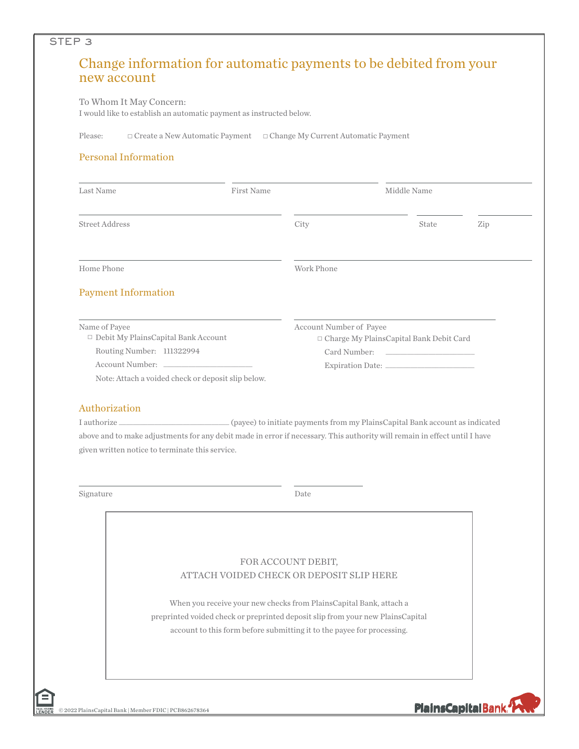## Change information for automatic payments to be debited from your new account

#### To Whom It May Concern:

STEP 3

I would like to establish an automatic payment as instructed below.

Please: □ Create a New Automatic Payment □ Change My Current Automatic Payment

### Personal Information

| Last Name                                                   | <b>First Name</b> |                         | Middle Name                                     |       |     |
|-------------------------------------------------------------|-------------------|-------------------------|-------------------------------------------------|-------|-----|
| <b>Street Address</b>                                       |                   | City                    |                                                 | State | Zip |
| Home Phone                                                  |                   | Work Phone              |                                                 |       |     |
| <b>Payment Information</b>                                  |                   |                         |                                                 |       |     |
| Name of Payee<br>$\Box$ Debit My PlainsCapital Bank Account |                   | Account Number of Payee | $\Box$ Charge My Plains Capital Bank Debit Card |       |     |
| Routing Number: 111322994                                   |                   |                         | Card Number:                                    |       |     |
| Account Number:                                             |                   |                         | Expiration Date:                                |       |     |

Note: Attach a voided check or deposit slip below.

#### Authorization

I authorize \_\_\_\_\_\_\_\_\_\_\_\_\_\_\_\_\_\_\_\_\_\_\_\_\_\_\_\_\_\_\_ (payee) to initiate payments from my PlainsCapital Bank account as indicated above and to make adjustments for any debit made in error if necessary. This authority will remain in effect until I have given written notice to terminate this service.

Signature Date

# FOR ACCOUNT DEBIT, ATTACH VOIDED CHECK OR DEPOSIT SLIP HERE When you receive your new checks from PlainsCapital Bank, attach a preprinted voided check or preprinted deposit slip from your new PlainsCapital account to this form before submitting it to the payee for processing.

PlainsCapitalBank